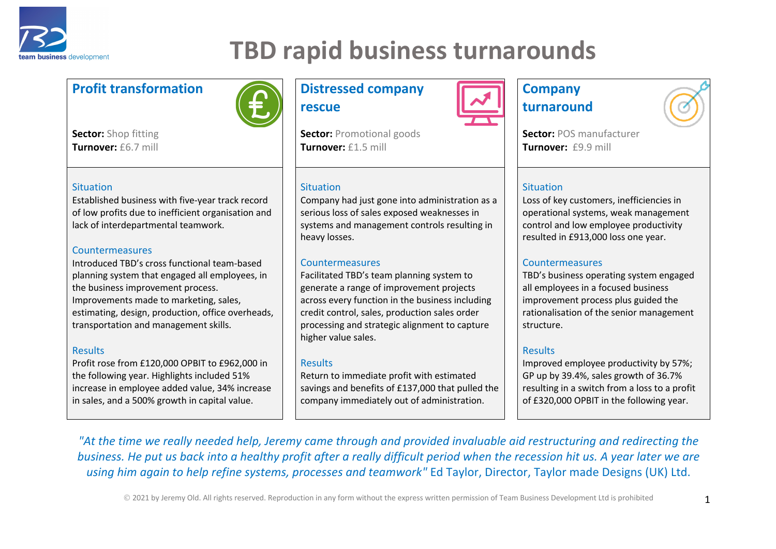

## **TBD rapid business turnarounds**

### **Profit transformation Distressed company**



**Sector:** Shop fitting **Turnover:** £6.7 mill

#### **Situation**

Established business with five-year track record of low profits due to inefficient organisation and lack of interdepartmental teamwork.

#### Countermeasures

Introduced TBD's cross functional team-based planning system that engaged all employees, in the business improvement process. Improvements made to marketing, sales, estimating, design, production, office overheads, transportation and management skills.

#### **Results**

Profit rose from £120,000 OPBIT to £962,000 in the following year. Highlights included 51% increase in employee added value, 34% increase in sales, and a 500% growth in capital value.

# **rescue**

**Sector:** Promotional goods **Turnover:** £1.5 mill

#### **Situation**

Company had just gone into administration as a serious loss of sales exposed weaknesses in systems and management controls resulting in heavy losses.

#### Countermeasures

Facilitated TBD's team planning system to generate a range of improvement projects across every function in the business including credit control, sales, production sales order processing and strategic alignment to capture higher value sales.

#### Results

Return to immediate profit with estimated savings and benefits of £137,000 that pulled the company immediately out of administration.



### **Company turnaround**

**Sector:** POS manufacturer **Turnover:** £9.9 mill

#### Situation

Loss of key customers, inefficiencies in operational systems, weak management control and low employee productivity resulted in £913,000 loss one year.

#### Countermeasures

TBD's business operating system engaged all employees in a focused business improvement process plus guided the rationalisation of the senior management structure.

#### **Results**

Improved employee productivity by 57%; GP up by 39.4%, sales growth of 36.7% resulting in a switch from a loss to a profit of £320,000 OPBIT in the following year.

*"At the time we really needed help, Jeremy came through and provided invaluable aid restructuring and redirecting the business. He put us back into a healthy profit after a really difficult period when the recession hit us. A year later we are using him again to help refine systems, processes and teamwork"* Ed Taylor, Director, Taylor made Designs (UK) Ltd.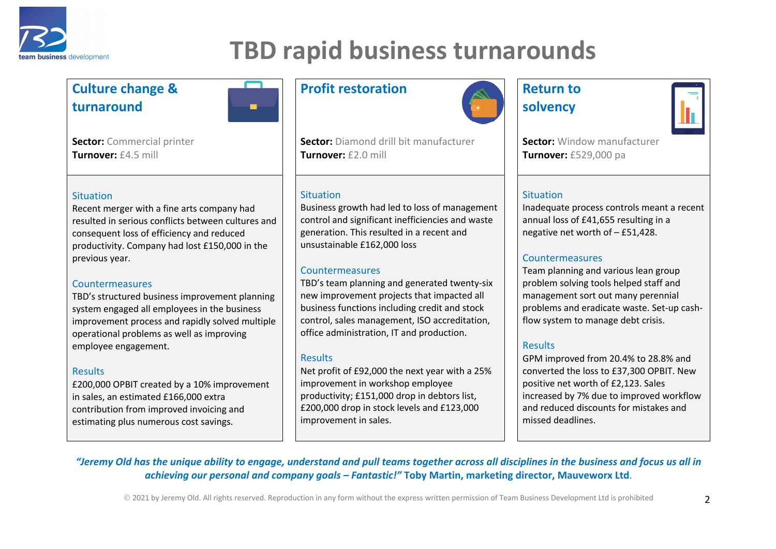

## **TBD rapid business turnarounds**

**Sector:** Diamond drill bit manufacturer

Business growth had led to loss of management control and significant inefficiencies and waste generation. This resulted in a recent and

TBD's team planning and generated twenty-six new improvement projects that impacted all business functions including credit and stock control, sales management, ISO accreditation, office administration, IT and production.

Net profit of £92,000 the next year with a 25%

improvement in workshop employee productivity; £151,000 drop in debtors list, £200,000 drop in stock levels and £123,000

### **Culture change & turnaround**

**Sector:** Commercial printer **Turnover:** £4.5 mill

#### **Situation**

Recent merger with a fine arts company had resulted in serious conflicts between cultures and consequent loss of efficiency and reduced productivity. Company had lost £150,000 in the previous year.

#### Countermeasures

TBD's structured business improvement planning system engaged all employees in the business improvement process and rapidly solved multiple operational problems as well as improving employee engagement.

#### **Results**

£200,000 OPBIT created by a 10% improvement in sales, an estimated £166,000 extra contribution from improved invoicing and estimating plus numerous cost savings.

### **Profit restoration Return to**

**Turnover:** £2.0 mill

unsustainable £162,000 loss

**Countermeasures** 

improvement in sales.

**Situation** 

٠

Results



## **solvency**



**Sector:** Window manufacturer **Turnover:** £529,000 pa

#### Situation

Inadequate process controls meant a recent annual loss of £41,655 resulting in a negative net worth of – £51,428.

#### Countermeasures

Team planning and various lean group problem solving tools helped staff and management sort out many perennial problems and eradicate waste. Set-up cashflow system to manage debt crisis.

#### Results

GPM improved from 20.4% to 28.8% and converted the loss to £37,300 OPBIT. New positive net worth of £2,123. Sales increased by 7% due to improved workflow and reduced discounts for mistakes and missed deadlines.

#### *"Jeremy Old has the unique ability to engage, understand and pull teams together across all disciplines in the business and focus us all in achieving our personal and company goals – Fantastic!"* **Toby Martin, marketing director, Mauveworx Ltd**.

© 2021 by Jeremy Old. All rights reserved. Reproduction in any form without the express written permission of Team Business Development Ltd is prohibited 2